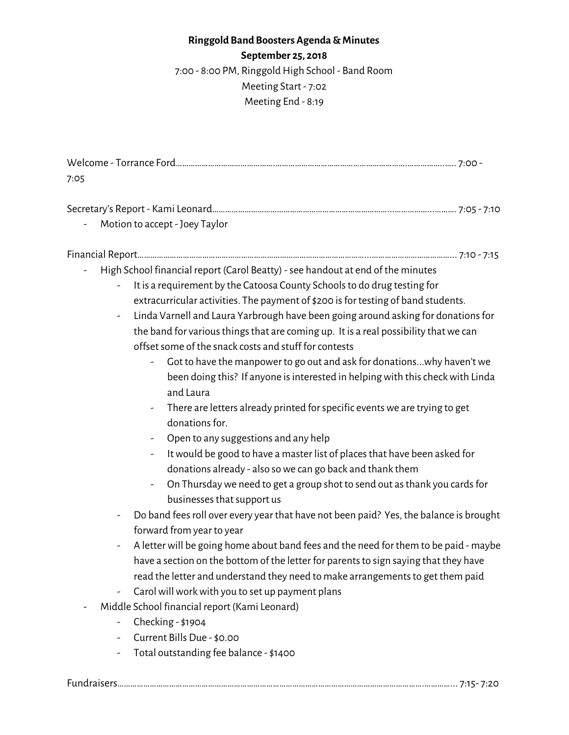## **Ringgold Band Boosters Agenda &Minutes**

**September 25, 2018**

7:00 - 8:00 PM, Ringgold High School - Band Room Meeting Start - 7:02 Meeting End - 8:19

Welcome - Torrance Ford……………………………………….…………………………………………………….……………..….. 7:00 - 7:05

| Motion to accept - Joey Taylor |  |
|--------------------------------|--|

Financial Report……………………………………………………………………………………………...………………………………... 7:10 - 7:15

- High School financial report (Carol Beatty) -see handout at end of the minutes
	- It is a requirement by the Catoosa County Schoolsto do drug testing for extracurricular activities. The payment of \$200 is for testing of band students.
	- Linda Varnell and Laura Yarbrough have been going around asking for donationsfor the band for various things that are coming up. It is a real possibility that we can offset some of the snack costs and stuff for contests
		- Got to have the manpower to go out and ask for donations...why haven'twe been doing this? If anyone is interested in helping with this check with Linda and Laura
		- There are letters already printed for specific events we are trying to get donations for.
		- Open to any suggestions and any help
		- It would be good to have a master list of places that have been asked for donations already - also sowe can go back and thank them
		- On Thursday we need to get a group shot to send out as thank you cards for businesses that support us
	- Do band feesroll over every year that have not been paid? Yes, the balance is brought forward from year to year
	- A letterwill be going home about band fees and the need for them to be paid maybe have a section on the bottom of the letter for parents to sign saying that they have read the letter and understand they need to make arrangements to get them paid
	- Carol will work with you to set up payment plans
	- Middle School financial report (Kami Leonard)
		- Checking \$1904
		- Current Bills Due \$0.00
		- Total outstanding fee balance \$1400

Fundraisers…………………………………………………………………………………………………………………………….…………... 7:15- 7:20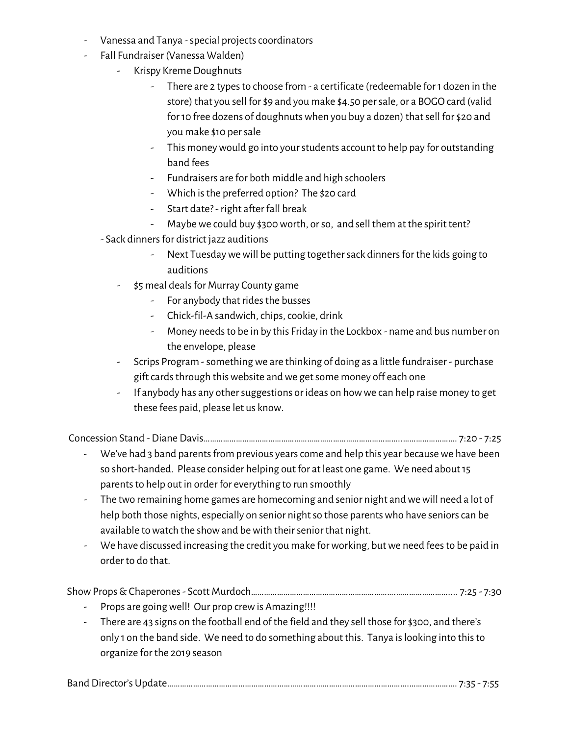- Vanessa and Tanya special projects coordinators
- Fall Fundraiser (Vanessa Walden)
	- Krispy Kreme Doughnuts
		- There are 2 types to choose from a certificate (redeemable for 1 dozen in the store) that you sell for \$9 and you make \$4.50 persale, or a BOGO card (valid for 10 free dozens of doughnuts when you buy a dozen) that sell for \$20 and you make \$10 persale
		- This money would go into your students account to help pay for outstanding band fees
		- Fundraisers are for both middle and high schoolers
		- Which is the preferred option? The \$20 card
		- Start date?- right after fall break
		- Maybe we could buy \$300 worth, or so, and sell them at the spirit tent?
	- Sack dinners for district jazz auditions
		- Next Tuesday we will be putting together sack dinners for the kids going to auditions
		- \$5 meal deals for Murray County game
			- For anybody that rides the busses
			- Chick-fil-A sandwich, chips, cookie, drink
			- Money needsto be in by this Friday in the Lockbox name and bus number on the envelope, please
		- Scrips Program -somethingwe are thinking of doing as a little fundraiser purchase gift cards through this website and we get some money off each one
		- If anybody has any other suggestions or ideas on how we can help raise money to get these fees paid, please let us know.

Concession Stand - Diane Davis………………………………………………………………………………..……………………. 7:20 - 7:25

- We've had 3 band parents from previous years come and help this year because we have been so short-handed. Please consider helping out for at least one game. We need about15 parents to help out in order for everything to run smoothly
- The two remaining home games are homecoming and senior night and we will need a lot of help both those nights, especially on senior night so those parents who have seniors can be available to watch the show and be with their senior that night.
- We have discussed increasing the credit you make for working, but we need fees to be paid in order to do that.

ShowProps&Chaperones- Scott Murdoch………………………………………………………….…………………….... 7:25 - 7:30

- Props are going well! Our prop crew is Amazing!!!!
- There are 43 signs on the football end of the field and they sell those for \$300, and there's only 1 on the band side. We need to do something about this. Tanya islooking into thisto organize for the 2019 season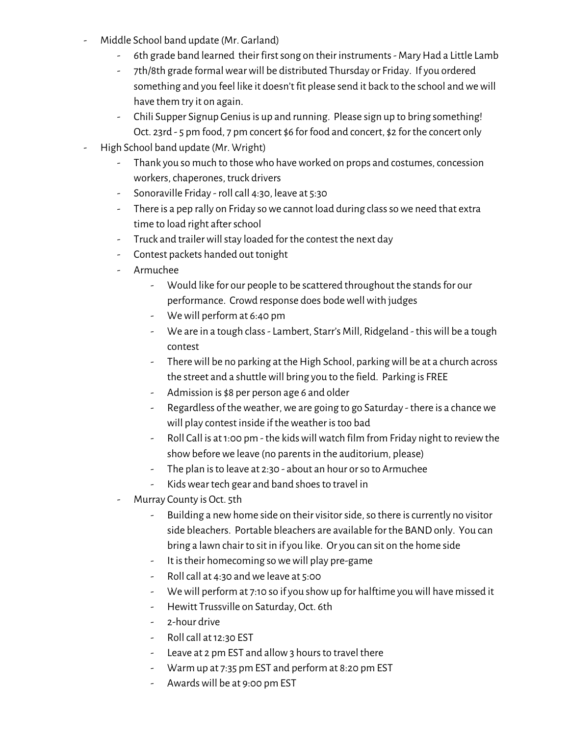- Middle School band update (Mr. Garland)
	- 6th grade band learned their first song on their instruments Mary Had a Little Lamb
	- 7th/8th grade formalwearwill be distributed Thursday or Friday. If you ordered something and you feel like it doesn't fit please send it back to the school andwewill have them try it on again.
	- Chili Supper Signup Genius is up and running. Please sign up to bring something! Oct. 23rd - 5 pm food, 7 pm concert \$6 for food and concert, \$2 for the concert only
- High School band update (Mr. Wright)
	- Thank you so much to those who have worked on props and costumes, concession workers, chaperones, truck drivers
	- Sonoraville Friday roll call 4:30, leave at 5:30
	- There is a pep rally on Friday so we cannot load during class so we need that extra time to load right after school
	- Truck and trailer will stay loaded for the contest the next day
	- Contest packets handed out tonight
	- Armuchee
		- Would like for our people to be scattered throughout the stands for our performance. Crowd response does bode well with judges
		- Wewill perform at 6:40 pm
		- We are in a tough class- Lambert, Starr's Mill, Ridgeland thiswill be a tough contest
		- There will be no parking at the High School, parking will be at a church across the street and a shuttlewill bring you to the field. Parking is FREE
		- Admission is \$8 per person age 6 and older
		- Regardless of the weather, we are going to go Saturday there is a chance we will play contest inside if the weather is too bad
		- Roll Call is at 1:00 pm the kids will watch film from Friday night to review the show before we leave (no parents in the auditorium, please)
		- The plan is to leave at 2:30 about an hour or so to Armuchee
		- Kids wear tech gear and band shoes to travel in
	- Murray County is Oct. 5th
		- Building a new home side on their visitor side, so there is currently no visitor side bleachers. Portable bleachers are available for the BAND only. You can bring a lawn chair to sit in if you like. Or you can sit on the home side
		- It istheir homecoming sowewill play pre-game
		- Roll call at 4:30 and we leave at 5:00
		- We will perform at 7:10 so if you show up for halftime you will have missed it
		- Hewitt Trussville on Saturday, Oct. 6th
		- 2-hour drive
		- Roll call at 12:30 EST
		- Leave at 2 pm EST and allow 3 hours to travel there
		- Warm up at 7:35 pm EST and perform at 8:20 pm EST
		- Awardswill be at 9:00 pm EST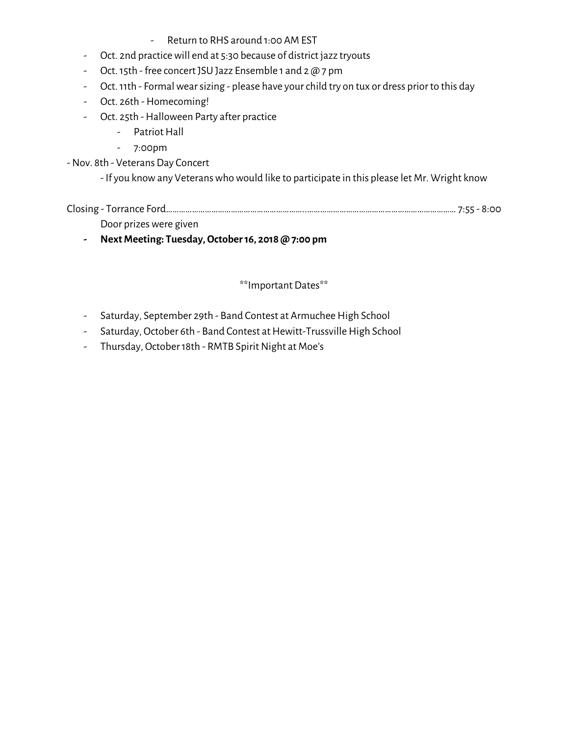- Return to RHS around 1:00 AM EST
- Oct. 2nd practicewill end at 5:30 because of district jazz tryouts
- Oct.15th free concert JSU Jazz Ensemble 1 and 2 @ 7 pm
- Oct. 11th Formal wear sizing please have your child try on tux or dress prior to this day
- Oct. 26th Homecoming!
- Oct. 25th Halloween Party after practice
	- Patriot Hall
	- 7:00pm

-Nov. 8th - Veterans Day Concert

- If you know any Veterans who would like to participate in this please let Mr. Wright know

| $ClOSin\sigma - T0$<br>$-$<br>TOLLATIC FOLL<br>.<br>$-0.001$<br>. <u>.</u> |  |
|----------------------------------------------------------------------------|--|
|----------------------------------------------------------------------------|--|

Door prizes were given

**- NextMeeting: Tuesday,October16, 2018 @ 7:00 pm**

## \*\*Important Dates\*\*

- Saturday, September 29th Band Contest at Armuchee High School
- Saturday, October 6th Band Contest at Hewitt-Trussville High School
- Thursday, October 18th RMTB Spirit Night at Moe's